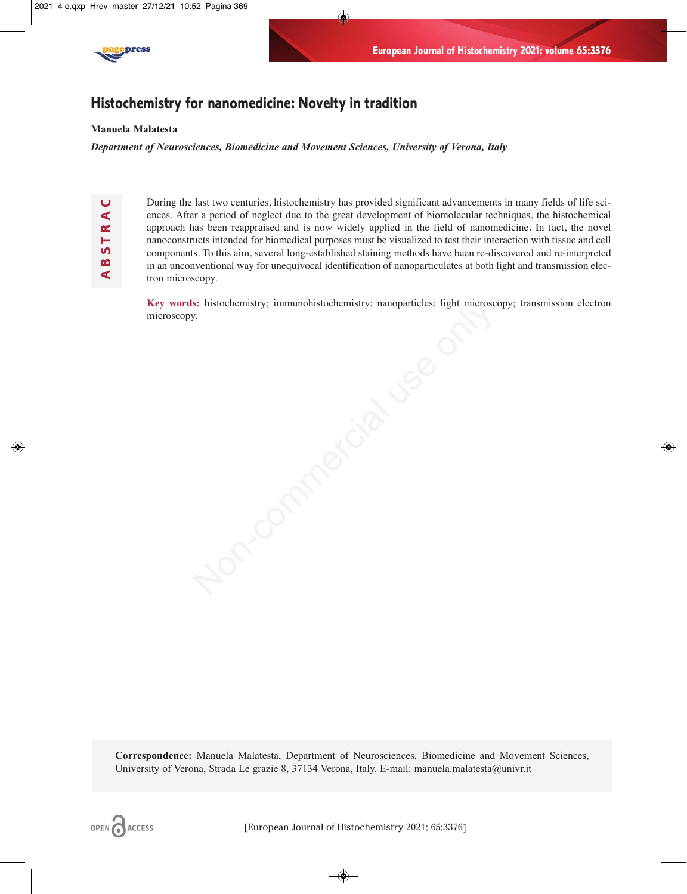

# **Histochemistry for nanomedicine: Novelty in tradition**

## **Manuela Malatesta**

*Department of Neurosciences, Biomedicine and Movement Sciences, University of Verona, Italy*

**A B S T R A C** BSTR. ๔ During the last two centuries, histochemistry has provided significant advancements in many fields of life sciences. After a period of neglect due to the great development of biomolecular techniques, the histochemical approach has been reappraised and is now widely applied in the field of nanomedicine. In fact, the novel nanoconstructs intended for biomedical purposes must be visualized to test their interaction with tissue and cell components. To this aim, several long-established staining methods have been re-discovered and re-interpreted in an unconventional way for unequivocal identification of nanoparticulates at both light and transmission electron microscopy.

**Key words:** histochemistry; immunohistochemistry; nanoparticles; light microscopy; transmission electron microscopy. SEE Instachementry; mmunohistochemistry; nanoparticles; light microse

**Correspondence:** Manuela Malatesta, Department of Neurosciences, Biomedicine and Movement Sciences, University of Verona, Strada Le grazie 8, 37134 Verona, Italy. E-mail: manuela.malatesta@univr.it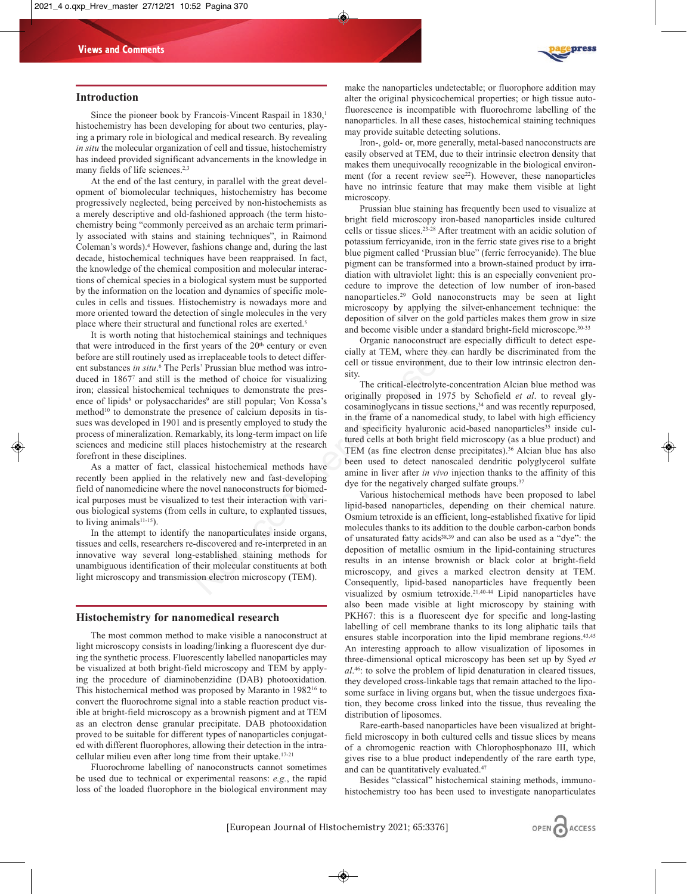

### **Introduction**

Since the pioneer book by Francois-Vincent Raspail in 1830,<sup>1</sup> histochemistry has been developing for about two centuries, playing a primary role in biological and medical research. By revealing *in situ* the molecular organization of cell and tissue, histochemistry has indeed provided significant advancements in the knowledge in many fields of life sciences.<sup>2,3</sup>

At the end of the last century, in parallel with the great development of biomolecular techniques, histochemistry has become progressively neglected, being perceived by non-histochemists as a merely descriptive and old-fashioned approach (the term histochemistry being "commonly perceived as an archaic term primarily associated with stains and staining techniques", in Raimond Coleman's words).4 However, fashions change and, during the last decade, histochemical techniques have been reappraised. In fact, the knowledge of the chemical composition and molecular interactions of chemical species in a biological system must be supported by the information on the location and dynamics of specific molecules in cells and tissues. Histochemistry is nowadays more and more oriented toward the detection of single molecules in the very place where their structural and functional roles are exerted.<sup>5</sup>

It is worth noting that histochemical stainings and techniques that were introduced in the first years of the  $20<sup>th</sup>$  century or even before are still routinely used as irreplaceable tools to detect different substances *in situ*. <sup>6</sup> The Perls' Prussian blue method was introduced in 18677 and still is the method of choice for visualizing iron; classical histochemical techniques to demonstrate the presence of lipids<sup>8</sup> or polysaccharides<sup>9</sup> are still popular; Von Kossa's method<sup>10</sup> to demonstrate the presence of calcium deposits in tissues was developed in 1901 and is presently employed to study the process of mineralization. Remarkably, its long-term impact on life sciences and medicine still places histochemistry at the research forefront in these disciplines. concentisty is how<br>adays more and deposition of single molecules in the error<br>
tion of single molecules in the very<br>
deposition of silver on the gold particles<br>
and decome visible under a standard bri<br>
st years of the 20<sup></sup>

As a matter of fact, classical histochemical methods have recently been applied in the relatively new and fast-developing field of nanomedicine where the novel nanoconstructs for biomedical purposes must be visualized to test their interaction with various biological systems (from cells in culture, to explanted tissues, to living animals $11-15$ ).

In the attempt to identify the nanoparticulates inside organs, tissues and cells, researchers re-discovered and re-interpreted in an innovative way several long-established staining methods for unambiguous identification of their molecular constituents at both light microscopy and transmission electron microscopy (TEM).

#### **Histochemistry for nanomedical research**

The most common method to make visible a nanoconstruct at light microscopy consists in loading/linking a fluorescent dye during the synthetic process. Fluorescently labelled nanoparticles may be visualized at both bright-field microscopy and TEM by applying the procedure of diaminobenzidine (DAB) photooxidation. This histochemical method was proposed by Maranto in 198216 to convert the fluorochrome signal into a stable reaction product visible at bright-field microscopy as a brownish pigment and at TEM as an electron dense granular precipitate. DAB photooxidation proved to be suitable for different types of nanoparticles conjugated with different fluorophores, allowing their detection in the intracellular milieu even after long time from their uptake.<sup>17-21</sup>

Fluorochrome labelling of nanoconstructs cannot sometimes be used due to technical or experimental reasons: *e.g.*, the rapid loss of the loaded fluorophore in the biological environment may

make the nanoparticles undetectable; or fluorophore addition may alter the original physicochemical properties; or high tissue autofluorescence is incompatible with fluorochrome labelling of the nanoparticles. In all these cases, histochemical staining techniques may provide suitable detecting solutions.

Iron-, gold- or, more generally, metal-based nanoconstructs are easily observed at TEM, due to their intrinsic electron density that makes them unequivocally recognizable in the biological environment (for a recent review see<sup>22</sup>). However, these nanoparticles have no intrinsic feature that may make them visible at light microscopy.

Prussian blue staining has frequently been used to visualize at bright field microscopy iron-based nanoparticles inside cultured cells or tissue slices.23-28 After treatment with an acidic solution of potassium ferricyanide, iron in the ferric state gives rise to a bright blue pigment called 'Prussian blue" (ferric ferrocyanide). The blue pigment can be transformed into a brown-stained product by irradiation with ultraviolet light: this is an especially convenient procedure to improve the detection of low number of iron-based nanoparticles.29 Gold nanoconstructs may be seen at light microscopy by applying the silver-enhancement technique: the deposition of silver on the gold particles makes them grow in size and become visible under a standard bright-field microscope.<sup>30-33</sup>

Organic nanoconstruct are especially difficult to detect especially at TEM, where they can hardly be discriminated from the cell or tissue environment, due to their low intrinsic electron density.

The critical-electrolyte-concentration Alcian blue method was originally proposed in 1975 by Schofield *et al*. to reveal glycosaminoglycans in tissue sections,<sup>34</sup> and was recently repurposed, in the frame of a nanomedical study, to label with high efficiency and specificity hyaluronic acid-based nanoparticles<sup>35</sup> inside cultured cells at both bright field microscopy (as a blue product) and TEM (as fine electron dense precipitates).36 Alcian blue has also been used to detect nanoscaled dendritic polyglycerol sulfate amine in liver after *in vivo* injection thanks to the affinity of this dye for the negatively charged sulfate groups.<sup>37</sup>

Various histochemical methods have been proposed to label lipid-based nanoparticles, depending on their chemical nature. Osmium tetroxide is an efficient, long-established fixative for lipid molecules thanks to its addition to the double carbon-carbon bonds of unsaturated fatty acids38,39 and can also be used as a "dye": the deposition of metallic osmium in the lipid-containing structures results in an intense brownish or black color at bright-field microscopy, and gives a marked electron density at TEM. Consequently, lipid-based nanoparticles have frequently been visualized by osmium tetroxide.21,40-44 Lipid nanoparticles have also been made visible at light microscopy by staining with PKH67: this is a fluorescent dye for specific and long-lasting labelling of cell membrane thanks to its long aliphatic tails that ensures stable incorporation into the lipid membrane regions.43,45 An interesting approach to allow visualization of liposomes in three-dimensional optical microscopy has been set up by Syed *et al*. 46: to solve the problem of lipid denaturation in cleared tissues, they developed cross-linkable tags that remain attached to the liposome surface in living organs but, when the tissue undergoes fixation, they become cross linked into the tissue, thus revealing the distribution of liposomes.

Rare-earth-based nanoparticles have been visualized at brightfield microscopy in both cultured cells and tissue slices by means of a chromogenic reaction with Chlorophosphonazo III, which gives rise to a blue product independently of the rare earth type, and can be quantitatively evaluated.47

Besides "classical" histochemical staining methods, immunohistochemistry too has been used to investigate nanoparticulates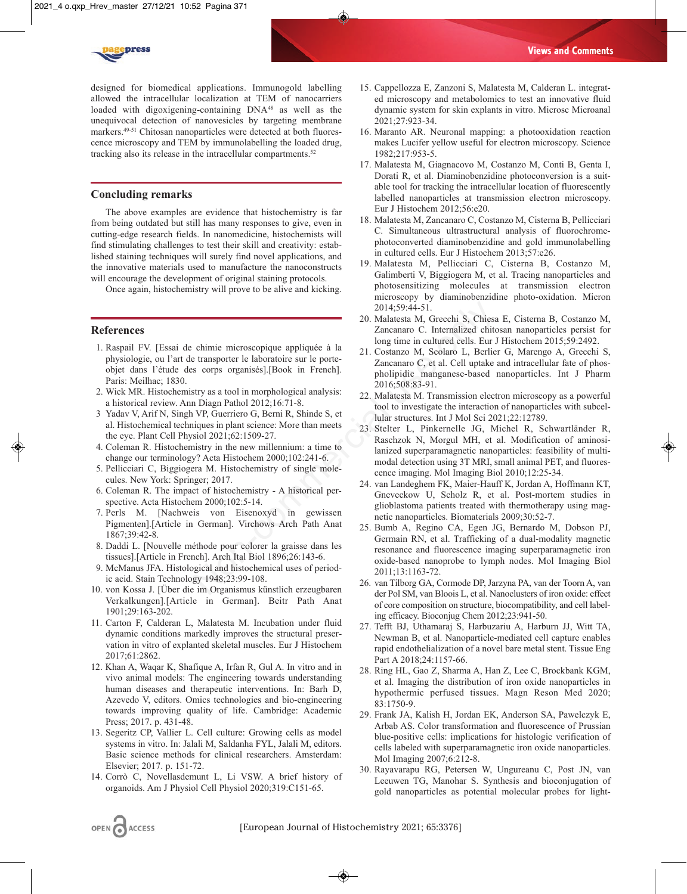

designed for biomedical applications. Immunogold labelling allowed the intracellular localization at TEM of nanocarriers loaded with digoxigening-containing DNA<sup>48</sup> as well as the unequivocal detection of nanovesicles by targeting membrane markers.49-51 Chitosan nanoparticles were detected at both fluorescence microscopy and TEM by immunolabelling the loaded drug, tracking also its release in the intracellular compartments.<sup>52</sup>

## **Concluding remarks**

The above examples are evidence that histochemistry is far from being outdated but still has many responses to give, even in cutting-edge research fields. In nanomedicine, histochemists will find stimulating challenges to test their skill and creativity: established staining techniques will surely find novel applications, and the innovative materials used to manufacture the nanoconstructs will encourage the development of original staining protocols.

Once again, histochemistry will prove to be alive and kicking.

## **References**

- 1. Raspail FV. [Essai de chimie microscopique appliquée à la physiologie, ou l'art de transporter le laboratoire sur le porteobjet dans l'étude des corps organisés].[Book in French]. Paris: Meilhac; 1830.
- 2. Wick MR. Histochemistry as a tool in morphological analysis: a historical review. Ann Diagn Pathol 2012;16:71-8.
- 3 Yadav V, Arif N, Singh VP, Guerriero G, Berni R, Shinde S, et al. Histochemical techniques in plant science: More than meets the eye. Plant Cell Physiol 2021;62:1509-27.
- 4. Coleman R. Histochemistry in the new millennium: a time to change our terminology? Acta Histochem 2000;102:241-6.
- 5. Pellicciari C, Biggiogera M. Histochemistry of single molecules. New York: Springer; 2017.
- 6. Coleman R. The impact of histochemistry A historical perspective. Acta Histochem 2000;102:5-14.
- 7. Perls M. [Nachweis von Eisenoxyd in gewissen Pigmenten].[Article in German]. Virchows Arch Path Anat 1867;39:42-8.
- 8. Daddi L. [Nouvelle méthode pour colorer la graisse dans les tissues].[Article in French]. Arch Ital Biol 1896;26:143-6.
- 9. McManus JFA. Histological and histochemical uses of periodic acid. Stain Technology 1948;23:99-108.
- 10. von Kossa J. [Über die im Organismus künstlich erzeugbaren Verkalkungen].[Article in German]. Beitr Path Anat 1901;29:163-202.
- 11. Carton F, Calderan L, Malatesta M. Incubation under fluid dynamic conditions markedly improves the structural preservation in vitro of explanted skeletal muscles. Eur J Histochem 2017;61:2862.
- 12. Khan A, Waqar K, Shafique A, Irfan R, Gul A. In vitro and in vivo animal models: The engineering towards understanding human diseases and therapeutic interventions. In: Barh D, Azevedo V, editors. Omics technologies and bio-engineering towards improving quality of life. Cambridge: Academic Press; 2017. p. 431-48.
- 13. Segeritz CP, Vallier L. Cell culture: Growing cells as model systems in vitro. In: Jalali M, Saldanha FYL, Jalali M, editors. Basic science methods for clinical researchers. Amsterdam: Elsevier; 2017. p. 151-72.
- 14. Corrò C, Novellasdemunt L, Li VSW. A brief history of organoids. Am J Physiol Cell Physiol 2020;319:C151-65.
- 15. Cappellozza E, Zanzoni S, Malatesta M, Calderan L. integrated microscopy and metabolomics to test an innovative fluid dynamic system for skin explants in vitro. Microsc Microanal 2021;27:923-34.
- 16. Maranto AR. Neuronal mapping: a photooxidation reaction makes Lucifer yellow useful for electron microscopy. Science 1982;217:953-5.
- 17. Malatesta M, Giagnacovo M, Costanzo M, Conti B, Genta I, Dorati R, et al. Diaminobenzidine photoconversion is a suitable tool for tracking the intracellular location of fluorescently labelled nanoparticles at transmission electron microscopy. Eur J Histochem 2012;56:e20.
- 18. Malatesta M, Zancanaro C, Costanzo M, Cisterna B, Pellicciari C. Simultaneous ultrastructural analysis of fluorochromephotoconverted diaminobenzidine and gold immunolabelling in cultured cells. Eur J Histochem 2013;57:e26.
- 19. Malatesta M, Pellicciari C, Cisterna B, Costanzo M, Galimberti V, Biggiogera M, et al. Tracing nanoparticles and photosensitizing molecules at transmission electron microscopy by diaminobenzidine photo-oxidation. Micron 2014;59:44-51.
- 20. Malatesta M, Grecchi S, Chiesa E, Cisterna B, Costanzo M, Zancanaro C. Internalized chitosan nanoparticles persist for long time in cultured cells. Eur J Histochem 2015;59:2492.
- 21. Costanzo M, Scolaro L, Berlier G, Marengo A, Grecchi S, Zancanaro C, et al. Cell uptake and intracellular fate of phospholipidic manganese-based nanoparticles. Int J Pharm 2016;508:83-91.
- 22. Malatesta M. Transmission electron microscopy as a powerful tool to investigate the interaction of nanoparticles with subcellular structures. Int J Mol Sci 2021;22:12789.
- 23. Stelter L, Pinkernelle JG, Michel R, Schwartländer R, Raschzok N, Morgul MH, et al. Modification of aminosilanized superparamagnetic nanoparticles: feasibility of multimodal detection using 3T MRI, small animal PET, and fluorescence imaging. Mol Imaging Biol 2010;12:25-34.
- 24. van Landeghem FK, Maier-Hauff K, Jordan A, Hoffmann KT, Gneveckow U, Scholz R, et al. Post-mortem studies in glioblastoma patients treated with thermotherapy using magnetic nanoparticles. Biomaterials 2009;30:52-7.
- 25. Bumb A, Regino CA, Egen JG, Bernardo M, Dobson PJ, Germain RN, et al. Trafficking of a dual-modality magnetic resonance and fluorescence imaging superparamagnetic iron oxide-based nanoprobe to lymph nodes. Mol Imaging Biol 2011;13:1163-72. 2014;59:44-51.<br>
20. Malatesta M, Greechi S, Chiess<br>
20. Malatesta M, Greechi S, Chiess<br>
20. Malatesta M, Greechi S, Chiess<br>
20. Costanzo C. Internalized chit<br>
21. Costanzo M, Sociaro L. Berlie<br>
21. Costanza M, Creachi S,
	- 26. van Tilborg GA, Cormode DP, Jarzyna PA, van der Toorn A, van der Pol SM, van Bloois L, et al. Nanoclusters of iron oxide: effect of core composition on structure, biocompatibility, and cell labeling efficacy. Bioconjug Chem 2012;23:941-50.
	- 27. Tefft BJ, Uthamaraj S, Harbuzariu A, Harburn JJ, Witt TA, Newman B, et al. Nanoparticle-mediated cell capture enables rapid endothelialization of a novel bare metal stent. Tissue Eng Part A 2018;24:1157-66.
	- 28. Ring HL, Gao Z, Sharma A, Han Z, Lee C, Brockbank KGM, et al. Imaging the distribution of iron oxide nanoparticles in hypothermic perfused tissues. Magn Reson Med 2020; 83:1750-9.
	- 29. Frank JA, Kalish H, Jordan EK, Anderson SA, Pawelczyk E, Arbab AS. Color transformation and fluorescence of Prussian blue-positive cells: implications for histologic verification of cells labeled with superparamagnetic iron oxide nanoparticles. Mol Imaging 2007;6:212-8.
	- 30. Rayavarapu RG, Petersen W, Ungureanu C, Post JN, van Leeuwen TG, Manohar S. Synthesis and bioconjugation of gold nanoparticles as potential molecular probes for light-